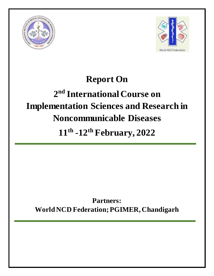



## **Report On**

# **2 nd International Course on Implementation Sciences and Research in Noncommunicable Diseases**

**11th -12th February, 2022**

**Partners: World NCD Federation; PGIMER, Chandigarh**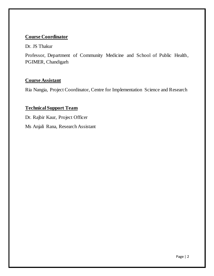## **Course Coordinator**

Dr. JS Thakur

Professor, Department of Community Medicine and School of Public Health, PGIMER, Chandigarh

## **Course Assistant**

Ria Nangia, Project Coordinator, Centre for Implementation Science and Research

## **Technical Support Team**

Dr. Rajbir Kaur, Project Officer

Ms Anjali Rana, Research Assistant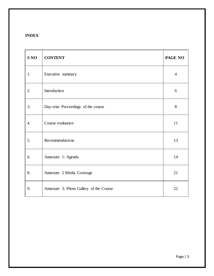## **INDEX**

| S <sub>NO</sub> | <b>CONTENT</b>                          | PAGE NO        |
|-----------------|-----------------------------------------|----------------|
| 1.              | Executive summary                       | $\overline{4}$ |
| 2.              | Introduction                            | 6              |
| 3.              | Day-wise Proceedings of the course      | 8              |
| 4.              | Course evaluation                       | 11             |
| 5.              | Recommendations                         | 13             |
| 6.              | Annexure 1: Agenda                      | 14             |
| 8.              | Annexure 2 Media Coverage               | 21             |
| 9.              | Annexure 3: Photo Gallery of the Course | 22             |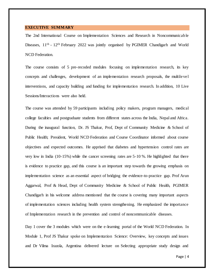#### **EXECUTIVE SUMMARY**

The 2nd International Course on Implementation Sciences and Research in Noncommunicable Diseases, 11<sup>th</sup> - 12<sup>th</sup> February 2022 was jointly organised by PGIMER Chandigarh and World NCD Federation.

The course consists of 5 pre-recoded modules focusing on implementation research, its key concepts and challenges, development of an implementation research proposals, the multilevel interventions, and capacity building and funding for implementation research. In addition, 10 Live Sessions/Interactions were also held.

The course was attended by 59 participants including policy makers, program managers, medical college faculties and postgraduate students from different states across the India, Nepal and Africa. During the inaugural function, Dr. JS Thakur, Prof, Dept of Community Medicine & School of Public Health; President, World NCD Federation and Course Coordinator informed about course objectives and expected outcomes. He apprised that diabetes and hypertension control rates are very low in India (10-15%) while the cancer screening rates are 5-10 %. He highlighted that there is evidence to practice gap, and this course is an important step towards the growing emphasis on implementation science as an essential aspect of bridging the evidence-to-practice gap. Prof Arun Aggarwal, Prof & Head, Dept of Community Medicine & School of Public Health, PGIMER Chandigarh in his welcome address mentioned that the course is covering many important aspects of implementation sciences including health system strengthening. He emphasized the importance of Implementation research in the prevention and control of noncommunicable diseases.

Day 1 cover the 3 modules which were on the e-learning portal of the World NCD Federation. In Module 1, Prof JS Thakur spoke on Implementation Science: Overview, key concepts and issues and Dr Vilma Irazola, Argentina delivered lecture on Selecting appropriate study design and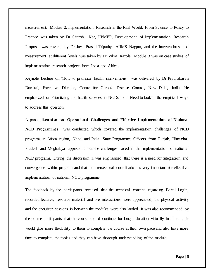measurement. Module 2, Implementation Research in the Real World: From Science to Policy to Practice was taken by Dr Sitanshu Kar, JIPMER, Development of Implementation Research Proposal was covered by Dr Jaya Prasad Tripathy, AIIMS Nagpur, and the Interventions and measurement at different levels was taken by Dr Vilma Irazola. Module 3 was on case studies of implementation research projects from India and Africa.

Keynote Lecture on "How to prioritize health interventions" was delivered by Dr Prabhakaran Dorairaj, Executive Director, Centre for Chronic Disease Control, New Delhi, India. He emphasized on Prioritizing the health services in NCDs and a Need to look at the empirical ways to address this question.

A panel discussion on "**Operational Challenges and Effective Implementation of National NCD Programmes"** was conducted which covered the implementation challenges of NCD programs in Africa region, Nepal and India. State Programme Officers from Punjab, Himachal Pradesh and Meghalaya apprised about the challenges faced in the implementation of national NCD programs. During the discussion it was emphasized that there is a need for integration and convergence within program and that the intersectoral coordination is very important for effective implementation of national NCD programme.

The feedback by the participants revealed that the technical content, regarding Portal Login, recorded lectures, resource material and live interactions were appreciated, the physical activity and the energizer sessions in between the modules were also lauded. It was also recommended by the course participants that the course should continue for longer duration virtually in future as it would give more flexibility to them to complete the course at their own pace and also have more time to complete the topics and they can have thorough understanding of the module.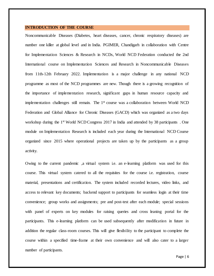#### **INTRODUCTION OF THE COURSE**

Noncommunicable Diseases (Diabetes, heart diseases, cancer, chronic respiratory diseases) are number one killer at global level and in India. PGIMER, Chandigarh in collaboration with Centre for Implementation Sciences & Research in NCDs, World NCD Federation conducted the 2nd International course on Implementation Sciences and Research in Noncommunicable Diseases from 11th-12th February 2022. Implementation is a major challenge in any national NCD programme as most of the NCD programmes are new. Though there is a growing recognition of the importance of implementation research, significant gaps in human resource capacity and implementation challenges still remain. The 1<sup>st</sup> course was a collaboration between World NCD Federation and Global Alliance for Chronic Diseases (GACD) which was organized as a two days workshop during the 1<sup>st</sup> World NCD Congress 2017 in India and attended by 38 participants. module on Implementation Research is included each year during the International NCD Course organized since 2015 where operational projects are taken up by the participants as a group activity.

Owing to the current pandemic ,a virtual system i.e. an e-learning platform was used for this course. This virtual system catered to all the requisites for the course i.e. registration, course material, presentations and certification. The system included recorded lectures, video links, and access to relevant key documents; backend support to participants for seamless login at their time convenience; group works and assignments; pre and post-test after each module; special sessions with panel of experts on key modules for raising queries and cross leaning portal for the participants. This e-learning platform can be used subsequently after modification in future in addition the regular class-room courses. This will give flexibility to the participant to complete the course within a specified time-frame at their own convenience and will also cater to a larger number of participants.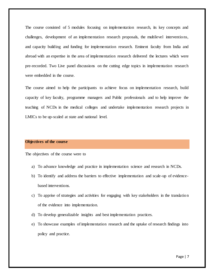The course consisted of 5 modules focusing on implementation research, its key concepts and challenges, development of an implementation research proposals, the multilevel interventions, and capacity building and funding for implementation research. Eminent faculty from India and abroad with an expertise in the area of implementation research delivered the lectures which were pre-recorded. Two Live panel discussions on the cutting edge topics in implementation research were embedded in the course.

The course aimed to help the participants to achieve focus on implementation research, build capacity of key faculty, programme managers and Public professionals and to help improve the teaching of NCDs in the medical colleges and undertake implementation research projects in LMICs to be up-scaled at state and national level.

#### **Objectives of the course**

The objectives of the course were to

- a) To advance knowledge and practice in implementation science and research in NCDs.
- b) To identify and address the barriers to effective implementation and scale-up of evidencebased interventions.
- c) To apprise of strategies and activities for engaging with key stakeholders in the translation of the evidence into implementation.
- d) To develop generalizable insights and best implementation practices.
- e) To showcase examples of implementation research and the uptake of research findings into policy and practice.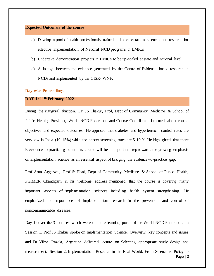#### **Expected Outcomes of the course**

- a) Develop a pool of health professionals trained in implementation sciences and research for effective implementation of National NCD programs in LMICs
- b) Undertake demonstration projects in LMICs to be up-scaled at state and national level.
- c) A linkage between the evidence generated by the Centre of Evidence based research in NCDs and implemented by the CISR- WNF.

#### **Day-wise Proceedings**

#### **DAY 1: 11th February 2022**

During the inaugural function, Dr. JS Thakur, Prof, Dept of Community Medicine & School of Public Health; President, World NCD Federation and Course Coordinator informed about course objectives and expected outcomes. He apprised that diabetes and hypertension control rates are very low in India (10-15%) while the cancer screening rates are 5-10 %. He highlighted that there is evidence to practice gap, and this course will be an important step towards the growing emphasis on implementation science as an essential aspect of bridging the evidence-to-practice gap.

Prof Arun Aggarwal, Prof & Head, Dept of Community Medicine & School of Public Health, PGIMER Chandigarh in his welcome address mentioned that the course is covering many important aspects of implementation sciences including health system strengthening. He emphasized the importance of Implementation research in the prevention and control of noncommunicable diseases.

Page | 8 Day 1 cover the 3 modules which were on the e-learning portal of the World NCD Federation. In Session 1, Prof JS Thakur spoke on Implementation Science: Overview, key concepts and issues and Dr Vilma Irazola, Argentina delivered lecture on Selecting appropriate study design and measurement. Session 2, Implementation Research in the Real World: From Science to Policy to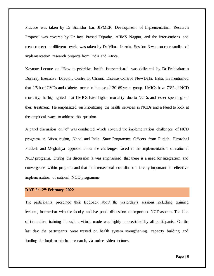Practice was taken by Dr Sitanshu kar, JIPMER, Development of Implementation Research Proposal was covered by Dr Jaya Prasad Tripathy, AIIMS Nagpur, and the Interventions and measurement at different levels was taken by Dr Vilma Irazola. Session 3 was on case studies of implementation research projects from India and Africa.

Keynote Lecture on "How to prioritize health interventions" was delivered by Dr Prabhakaran Dorairaj, Executive Director, Centre for Chronic Disease Control, New Delhi, India. He mentioned that 2/5th of CVDs and diabetes occur in the age of 30-69 years group. LMICs have 73% of NCD mortality, he highlighted that LMICs have higher mortality due to NCDs and lesser spending on their treatment. He emphasized on Prioritizing the health services in NCDs and a Need to look at the empirical ways to address this question.

A panel discussion on "c" was conducted which covered the implementation challenges of NCD programs in Africa region, Nepal and India. State Programme Officers from Punjab, Himachal Pradesh and Meghalaya apprised about the challenges faced in the implementation of national NCD programs. During the discussion it was emphasized that there is a need for integration and convergence within program and that the intersectoral coordination is very important for effective implementation of national NCD programme.

## **DAY 2: 12th February 2022**

The participants presented their feedback about the yesterday's sessions including training lectures, interaction with the faculty and live panel discussion on important NCD aspects. The idea of interactive training through a virtual mode was highly appreciated by all participants. On the last day, the participants were trained on health system strengthening, capacity building and funding for implementation research, via online video lectures.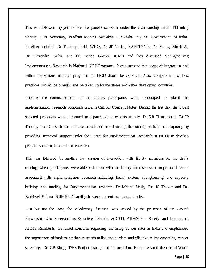This was followed by yet another live panel discussion under the chairmanship of Sh. Nilambuj Sharan, Joint Secretary, Pradhan Mantru Swasthya Surakhsha Yojana, Government of India. Panelists included Dr. Pradeep Joshi, WHO, Dr. JP Narian, SAFETYNet, Dr. Sunny, MoHFW, Dr. Dhirendra Sinha, and Dr. Ashoo Grover, ICMR and they discussed Strengthening Implementation Research in National NCD Programs. It was stressed that scope of integration and within the various national programs for NCD should be explored. Also, compendium of best practices should be brought and be taken up by the states and other developing countries.

Prior to the commencement of the course, participants were encouraged to submit the implementation research proposals under a Call for Concept Notes. During the last day, the 5 best selected proposals were presented to a panel of the experts namely Dr KR Thankappan, Dr JP Tripathy and Dr JS Thakur and also contributed in enhancing the training participants' capacity by providing technical support under the Centre for Implementation Research in NCDs to develop proposals on Implementation research.

This was followed by another live session of interaction with faculty members for the day's training where participants were able to interact with the faculty for discussion on practical issues associated with implementation research including health system strengthening and capacity building and funding for Implementation research. Dr Meenu Singh, Dr. JS Thakur and Dr. Kathirvel S from PGIMER Chandigarh were present ass course faculty.

Last but not the least, the valedictory function was graced by the presence of Dr. Arvind Rajwanshi, who is serving as Executive Director & CEO, AIIMS Rae Bareily and Director of AIIMS Rishikesh. He raised concerns regarding the rising cancer rates in India and emphasised the importance of implementation research to find the barriers and effectively implementing cancer screening. Dr. GB Singh, DHS Punjab also graced the occasion. He appreciated the role of World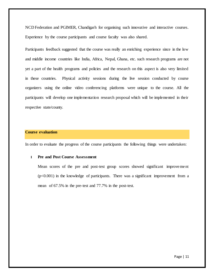NCD Federation and PGIMER, Chandigarh for organising such innovative and interactive courses. Experience by the course participants and course faculty was also shared.

Participants feedback suggested that the course was really an enriching experience since in the low and middle income countries like India, Africa, Nepal, Ghana, etc. such research programs are not yet a part of the health programs and policies and the research on this aspect is also very limited in these countries. Physical activity sessions during the live session conducted by course organizers using the online video conferencing platforms were unique to the course. All the participants will develop one implementation research proposal which will be implemented in their respective state/county.

#### **Course evaluation**

In order to evaluate the progress of the course participants the following things were undertaken:

#### **I Pre and Post Course Assessment**

Mean scores of the pre and post-test group scores showed significant improvement (p<0.001) in the knowledge of participants. There was a significant improvement from a mean of 67.5% in the pre-test and 77.7% in the post-test.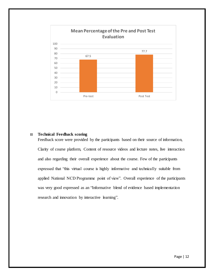

#### **II Technical Feedback scoring**

Feedback score were provided by the participants based on their source of information, Clarity of course platform, Content of resource videos and lecture notes, live interaction and also regarding their overall experience about the course. Few of the participants expressed that "this virtual course is highly informative and technically suitable from applied National NCD Programme point of view". Overall experience of the participants was very good expressed as an "Informative blend of evidence based implementation research and innovation by interactive learning".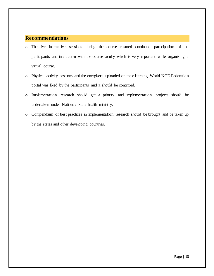## **Recommendations**

- o The live interactive sessions during the course ensured continued participation of the participants and interaction with the course faculty which is very important while organizing a virtual course.
- o Physical activity sessions and the energizers uploaded on the e learning World NCD Federation portal was liked by the participants and it should be continued.
- o Implementation research should get a priority and implementation projects should be undertaken under National/ State health ministry.
- o Compendium of best practices in implementation research should be brought and be taken up by the states and other developing countries.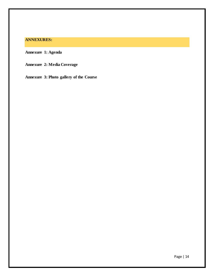## **ANNEXURES:**

**Annexure 1: Agenda**

**Annexure 2: Media Coverage**

**Annexure 3: Photo gallery of the Course**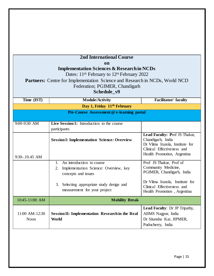|                                           | <b>2nd International Course</b>                                                    |                                 |
|-------------------------------------------|------------------------------------------------------------------------------------|---------------------------------|
|                                           | on                                                                                 |                                 |
|                                           | <b>Implementation Sciences &amp; Research in NCDs</b>                              |                                 |
|                                           | Dates: 11 <sup>th</sup> February to 12 <sup>th</sup> February 2022                 |                                 |
|                                           | <b>Partners:</b> Centre for Implementation Science and Research in NCDs, World NCD |                                 |
|                                           | Federation; PGIMER, Chandigarh                                                     |                                 |
|                                           | Schedule_v9                                                                        |                                 |
| Time (IST)                                | <b>Module/Activity</b>                                                             | Facilitator/ faculty            |
|                                           | Day 1, Friday 11 <sup>th</sup> February                                            |                                 |
| Pre-Course Assessment @ e-learning portal |                                                                                    |                                 |
|                                           |                                                                                    |                                 |
| 9:00-9:30 AM                              | Live Session 1: Introduction to the course                                         |                                 |
|                                           | participants                                                                       | Lead Faculty: Prof JS Thakur,   |
|                                           | <b>Session I: Implementation Science: Overview</b>                                 | Chandigarh, India               |
|                                           |                                                                                    | Dr Vilma Irazola, Institute for |
|                                           |                                                                                    | Clinical Effectiveness and      |
| 9:30-.10.45 AM                            |                                                                                    | Health Promotion, Argentina     |
|                                           | An introduction to course<br>$1_{-}$                                               | Prof JS Thakur, Prof of         |
|                                           | Implementation Science: Overview, key<br>2.                                        | Community Medicine,             |
|                                           | concepts and issues                                                                | PGIMER, Chandigarh, India       |
|                                           |                                                                                    | Dr Vilma Irazola, Institute for |
|                                           | Selecting appropriate study design and<br>3.<br>measurement for your project       | Clinical Effectiveness and      |
|                                           |                                                                                    | Health Promotion, Argentina     |
| 10:45-11:00 AM                            | <b>Mobility Break</b>                                                              |                                 |
|                                           |                                                                                    | Lead Faculty: Dr JP Tripathy,   |
| 11:00 AM-12:30                            | <b>Session II: Implementation Research in the Real</b>                             | AIIMS Nagpur, India             |
| Noon                                      | World                                                                              | Dr Sitanshu Kar, JIPMER,        |
|                                           |                                                                                    | Puducherry, India               |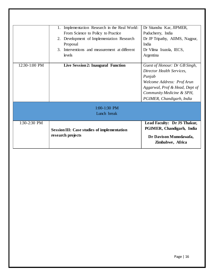| 1:30-2:30 PM  | <b>Session III: Case studies of implementation</b><br>research projects                                                                         | Lead Faculty: Dr JS Thakur,<br>PGIMER, Chandigarh, India<br>Dr Davison Munodawafa,<br>Zimbabwe, Africa                                                                                                                                 |
|---------------|-------------------------------------------------------------------------------------------------------------------------------------------------|----------------------------------------------------------------------------------------------------------------------------------------------------------------------------------------------------------------------------------------|
|               | 1:00-1:30 PM<br>Lunch break                                                                                                                     |                                                                                                                                                                                                                                        |
| 12:30-1:00 PM | 3. Interventions and measurement at different<br>levels<br>Live Session 2: Inaugural Function                                                   | Dr Vilma Irazola, IECS,<br>Argentina<br>Guest of Honour: Dr GB Singh,<br>Director Health Services.<br>Punjab<br>Welcome Address: Prof Arun<br>Aggarwal, Prof & Head, Dept of<br>Community Medicine & SPH,<br>PGIMER, Chandigarh, India |
|               | Implementation Research in the Real World:<br>1.<br>From Science to Policy to Practice<br>2. Development of Implementation Research<br>Proposal | Dr Sitanshu Kar, JIPMER,<br>Puducherry, India<br>Dr JP Tripathy, AIIMS, Nagpur,<br>India                                                                                                                                               |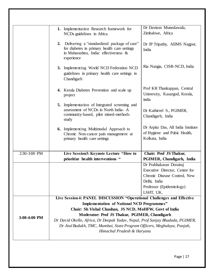|                | 1. Implementation Research framework for<br>NCDs guidelines in Africa.                                                                                    | Dr Davison Munodawafa,<br>Zimbabwe, Africa                                                                                                         |
|----------------|-----------------------------------------------------------------------------------------------------------------------------------------------------------|----------------------------------------------------------------------------------------------------------------------------------------------------|
|                | Delivering a "standardized package of care"<br>2.<br>for diabetes in primary health care settings<br>in Maharashtra, India: effectiveness &<br>experience | Dr JP Tripathy, AIIMS Nagpur,<br>India                                                                                                             |
|                | 3. Implementing World NCD Federation NCD<br>guidelines in primary health care settings in<br>Chandigarh                                                   | Ria Nangia, CISR-NCD, India                                                                                                                        |
|                | 4. Kerala Diabetes Prevention and scale up<br>project                                                                                                     | Prof KR Thankappan, Central<br>University, Kasargod, Kerala,<br>india                                                                              |
|                | 5. Implementation of Integrated screening and<br>assessment of NCDs in North India- A<br>community-based, pilot mixed-methods<br>study                    | Dr Kathirvel S., PGIMER,<br>Chandigarh, India                                                                                                      |
|                | 6. Implementing Multimodal Approach to<br>Chronic Non-cancer pain management at<br>primary health care settings                                           | Dr Arpita Das, All India Institute<br>of Hygiene and Pubic Health,<br>Kolkata, India                                                               |
| 2:30-3:00 PM   | Live Session3: Keynote Lecture "How to<br>prioritize health interventions "                                                                               | Chair: Prof JS Thakur,<br>PGIMER, Chandigarh, India                                                                                                |
|                |                                                                                                                                                           | Dr Prabhakaran Dorairaj<br>Executive Director, Centre for<br>Chronic Disease Control, New<br>Delhi, India<br>Professor (Epidemiology)<br>LSHT, UK. |
|                | Live Session 4: PANEL DISCUSSION "Operational Challenges and Effective                                                                                    |                                                                                                                                                    |
|                | <b>Implementation of National NCD Programmes"</b>                                                                                                         |                                                                                                                                                    |
|                | Chair: Sh Vishal Chauhan, JS NCD, MoHFW, Govt of India                                                                                                    |                                                                                                                                                    |
| $3:00-4:00$ PM | Moderator: Prof JS Thakur, PGIMER, Chandigarh                                                                                                             |                                                                                                                                                    |
|                | Dr David Okello, Africa, Dr Deepak Yadav, Nepal, Prof Sanjay Bhadada, PGIMER,                                                                             |                                                                                                                                                    |
|                | Dr Atul Budukh, TMC, Mumbai, State Program Officers, Meghalaya, Punjab,                                                                                   |                                                                                                                                                    |
|                | Himachal Pradesh & Haryana                                                                                                                                |                                                                                                                                                    |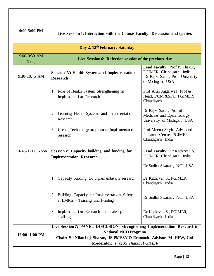| 4:00-5:00 PM                               | Live Session 5: Interaction with the Course Faculty; Discussion and queries                                                                                                                                          |                                                                                                                    |  |  |
|--------------------------------------------|----------------------------------------------------------------------------------------------------------------------------------------------------------------------------------------------------------------------|--------------------------------------------------------------------------------------------------------------------|--|--|
| Day 2, 12 <sup>th</sup> February, Saturday |                                                                                                                                                                                                                      |                                                                                                                    |  |  |
| $9:00-9:30$ AM<br>(IST)                    | Live Session 6: Refection session of the previous day                                                                                                                                                                |                                                                                                                    |  |  |
| 9:30-10:45 AM                              | <b>Session IV: Health System and Implementation</b><br><b>Research</b>                                                                                                                                               | Lead Faculty: Prof JS Thakur,<br>PGIMER, Chandigarh, India<br>Dr Rajiv Saran, Prof, University<br>of Michigan, USA |  |  |
|                                            | 1. Role of Health System Strengthening in<br><b>Implementation Research</b>                                                                                                                                          | Prof Arun Aggarwal, Prof &<br>Head, DCM &SPH, PGIMER,<br>Chandigarh                                                |  |  |
|                                            | 2. Learning Health Systems and Implementation<br>Research                                                                                                                                                            | Dr Rajiv Saran, Prof of<br>Medicine and Epidemiology,<br>University of Michigan, USA                               |  |  |
|                                            | 3. Use of Technology to promote implementation<br>research                                                                                                                                                           | Prof Meenu Singh, Advanced<br>Pediatric Centre, PGIMER,<br>Chandigarh, India                                       |  |  |
| 10-45-12:00 Noon                           | Session V: Capacity building and funding for<br><b>Implementation Research</b>                                                                                                                                       | Lead Faculty: Dr Kathirvel S,<br>PGIMER, Chandigarh, India<br>Dr Sudha Sivaram, NCI, USA                           |  |  |
|                                            | 1. Capacity building for implementation research                                                                                                                                                                     | Dr Kathirvel S., PGIMER,<br>Chandigarh, India                                                                      |  |  |
|                                            | 2. Building Capacity for Implementation Science<br>in $LMICs$ – Training and Funding                                                                                                                                 | Dr Sudha Sivaram, NCI, USA                                                                                         |  |  |
|                                            | Implementation Research and scale up<br>3.<br>challenges                                                                                                                                                             | Dr Kathirvel S., PGIMER,<br>Chandigarh, India                                                                      |  |  |
| 12:00 -1:00 PM                             | Live Session 7: PANEL DISCUSION- Strengthening Implementation Research in<br><b>National NCD Programs</b><br>Chair: Sh Nilambuj Sharan, JS PMSSY & Economic Advisor, MoHFW, GoI<br>Moderator: Prof JS Thakur, PGIMER |                                                                                                                    |  |  |
|                                            |                                                                                                                                                                                                                      | Page   18                                                                                                          |  |  |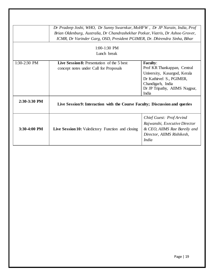|                              | Dr Pradeep Joshi, WHO, Dr Sunny Swarnkar, MoHFW, Dr JP Narain, India, Prof<br>Brian Oldenburg, Australia, Dr Chandrashekhar Potkar, Viatris, Dr Ashoo Grover,       |                                                                                                                                                                           |  |
|------------------------------|---------------------------------------------------------------------------------------------------------------------------------------------------------------------|---------------------------------------------------------------------------------------------------------------------------------------------------------------------------|--|
|                              | ICMR, Dr Varinder Garg, OSD, President PGIMER, Dr. Dhirendra Sinha, Bihar                                                                                           |                                                                                                                                                                           |  |
|                              | $1:00-1:30$ PM                                                                                                                                                      |                                                                                                                                                                           |  |
|                              | Lunch break                                                                                                                                                         |                                                                                                                                                                           |  |
| 1:30-2:30 PM<br>2:30-3:30 PM | Live Session 8: Presentation of the 5 best<br>concept notes under Call for Proposals<br>Live Session 9: Interaction with the Course Faculty; Discussion and queries | <b>Faculty:</b><br>Prof KR Thankappan, Central<br>University, Kasargod, Kerala<br>Dr Kathirvel S., PGIMER,<br>Chandigarh, India<br>Dr JP Tripathy, AIIMS Nagpur,<br>India |  |
|                              |                                                                                                                                                                     |                                                                                                                                                                           |  |
| 3:30-4:00 PM                 | Live Session 10: Valedictory Function and closing                                                                                                                   | Chief Guest: Prof Arvind<br>Rajwanshi, Executive Director<br>& CEO, AIIMS Rae Bareily and<br>Director, AIIMS Rishikesh,<br><i>India</i>                                   |  |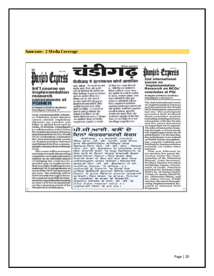#### **Annexure: 2 Media Coverage**



#### Int'l course on implementation research commences at **PGIMER**

PUNJAB EXPRESS BUREAU<br>Chandigarh, February 12

Non-communicable Diseases (Diabetes, heart diseases, cancer, chronic respiratory discusses) are number one<br>killer at global level and in India, PGIMER, Chandigarh in collaboration with Centre for Implementation Sciences and Research in NCDs, World **NCD Federation conducted** the 2nd international course on Implementation Sciences and Research in Nion-communicable Diseases from February  $11 - 12$ 

The course will be an important step towards the growing emphasis on implementation<br>acience as an essential aspect of bridging the evidence-topractice gap as implementa-<br>tion is a major challenge in any is an antional NCD programme as<br>most of the NCD programmes<br>are new. The training will be<br>helivingly through interactive sessions and skill develop-<br>tive sessions and skill development by expert faculty keeping in view COVID-19 pandernic on the e-learning portal of the<br>World NCD Federation.

#### पीजीआइ में इंटरनेशनल कोर्स आयोजित

जारां, चेक्रीमंड : गेर संचारी रोग जैसे मधनेह, ह्रदय, केसर और पुरानी सांस की बीमारियों की रोवाचान को लेकर पीजीआइ में दूसरा इंटरनेशनल<br>कार्त का अफ्रीजन विभाग गया। वैतिवक्त नवर घर और भारत में क्षर साल लक्ष्यों लोगों की मृत्यू हन<br>बीमारियों की कतह होती है । विश्व पनसीडी पेजरेशन के ई-लनिंग पोर्टल पर कोशिड - 19 महामारी को च्छान में रखते हुए विगेषज्ञा और<br>विजयवी ने इंटरविंदव नन और दरीपाल विद्यपत्न के महच्यम ने प्रतिम्बन्द was sweitfürer Resea und fiberaffen पाइयंग्राम का उद्घाटन 11 पदछती

को विभाग मध्य । पंजाब जीएकएर्ने डा. जीवी सिंह इस कार्यक्रम के विशिष्ट अतिकि में । भारत, नेपाल और अफ्रीका के राज्यों के प्रनसेंगी ds viener, estdieta pileats, 2120 नोडल अधिकारियों सहित कुल लक्का 57 प्रतिष्ठमित्री ने दिस्सा लिया। पाइय्क्षण में कार्यानकान Bermanne aspa stude services और चुनेतियों, यायान्वियन अनुसंधान प्रस्तावों के विकास, बहुस्तरीय<br>हस्तावेप और क्षमता निर्माण और कार्यान्वयन अनुसंधान के लिए विश पोषमा घर च्यान केंद्रित करने वाले पांच मॉडियूल प्रबङ्गत क्रिय गय।

## ਪੀ ਜੀ ਆਈ. ਵਲੌਂ ਦੋ ਦਿਨਾਂ ਅੰਤਰਰਾਸ਼ਟਰੀ ਕੋਰਸ

ਚੰਡੀਗੜ੍ਹ, 12 ਫਰਵਰੀ (ਮਨਜੋਤ<br>ਸਿੰਘ ਜੋਤ) ਪੀ. ਜੀ. ਆਈ. ਵਲੋਂ ਸੈਂਟਰ ਫਾਰ ਇਪਲੀਮੈਟੇਸ਼ਨ ਸਾਇੰਸਜ਼ ਐਂਡ ਫਰ ਮੁਰਖਨਸਟਰਨ ਸਾਰਮਾ ਸਨ, ਵਿਸ਼ਵ<br>ਐਨ.ਸੀ.ਡੀ. ਫੈਡਰੇਸ਼ਨ ਦੇ ਸਹਿਯੋਗ ਨਾਲ<br>ਗੈਰ ਸੈਚਾਰੀ ਰੋਗਾਂ 'ਚ ਲਘੂ ਵਿਗਿਆਨ ਤੇ ਗਰ ਸਾਚਾਰਾ ਰਗਾ 'ਚ ਲਗੂ ਜ਼ਬਰਗੀ'ਨਾ<br>ਬੇਜ ਬਾਰੇ ਦੇ ਦਿਨਾਂ ਅੰਤਰ ਰਾਸ਼ਟਰੀ ਕੋਰਸ<br>ਕਰਵਾਇਆ ਗਿਆ। ਇਹ ਕੋਰਸ ਗੋਰ<br>ਸੋਚਾਰੀ ਰੋਗਾਂ ਦੇ ਵੈੱਧ ਰਹੇ ਜ਼ੋਰ ਵੈੱਲ ਇਕ ਮਹੋਤਵਪੂਰਨ ਕਦਮ ਹੋਵੇਗਾ। ਸਿਖਲਾਈ ਸਰਤਵਪੂਰਨ ਕਦਸ ਰਵਜ਼ਾ '। ਸਮੂਲ ਦਾ ਜ਼ਿਲ੍ਹਾ ਦਾ ਜ਼ਿਲ੍ਹਾ ਦੀ ਕਰਨਕ ਐਨ. ਸੀ. ਡੀ. ਫੈਕਰੋਸ਼ਨ ਦੇ ਈ-<br>ਲਰਨਿੰਗ ਪੋਰਟਲ 'ਤੇ ਕੋਵਿਡ-19<br>ਮਹਾਂਮਾਰੀ ਨੂੰ ਧਿਆਨ 'ਚ ਰੋਖਦੇ ਹੋਏ<br>ਮਾਹਿਰ ਫੈਕਲਟੀ ਦੁਆਰਾ ਇੰਟਰ ਐਕਟਿਵ<br>ਸੈਸ਼ਨਾਂ ਤੇ ਹੁਨਰ ਵਿਕਾਸ ਦੁਆਰਾ ਕਰਵਾਈ<br>ਜਾਏਗੀ | ਇਸ ਕੋਰਸ ਸਾ ਅਫ਼ਗੀਕਾ ਦੇ ਰਾਜਾਂ ਤੋਂ ਫੇਲਲਟੀ,<br>ਪ੍ਰੋਗਰਾਮ ਮੈਨੇਜਰ ਤੇ ਐਨ.ਸੀ.ਡੀ. ਦੇ ਸਟੇਟ ਨੋਡਲ ਅਫ਼ਸਰਾਂ ਸਮੇਤ 57 ਪਤੀਕਾਗੀ ਹਿੰਸਾ ਲੈ ਰਹੇ ਹਨ।

## **Dunjab Express** 2nd international course on

'Implementation **Research on NCDs'** concludes at PGI

**PUNJAB EXPRESS BUREAU** Chandigarh, February14

The 2nd international course on Implementation Sciences and Research by the World<br>NCD Federation entered its last day. The participants<br>presented their feedback about yesterday's sessions<br>including training lectures, interaction with the faculty and live panel discussion on important NCD aspects.<br>The idea of interactive training through a virtual mode was highly appreciated by all participants. On the last day,<br>the participants were trained on health system strengthening, capacity building and funding for implementation research, via online video lectures. This was followed by

yet another live panel dis-<br>cussion under the chairmanship of Sh. Nilambuj<br>Sharan, Joint Secretary,<br>Pradhan Mantru Swasthya Surakhsha Yojana, Government of India. Panelists included Dr. Pradeep Joshi,<br>WHO, Dr. JP Narian, SAFE-TYNet, Dr. Sanny, MoHFW, Dr. Dhirendra Sinha, and Dr. Ashoo Grover, ICMR and they discussed Strengthening Implementation Research in National NCD Programs.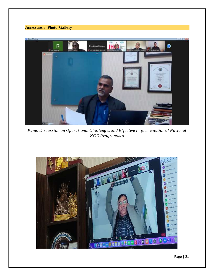## **Annexure:3 Photo Gallery**



*Panel Discussion on Operational Challenges and Effective Implementation of National NCD Programmes*